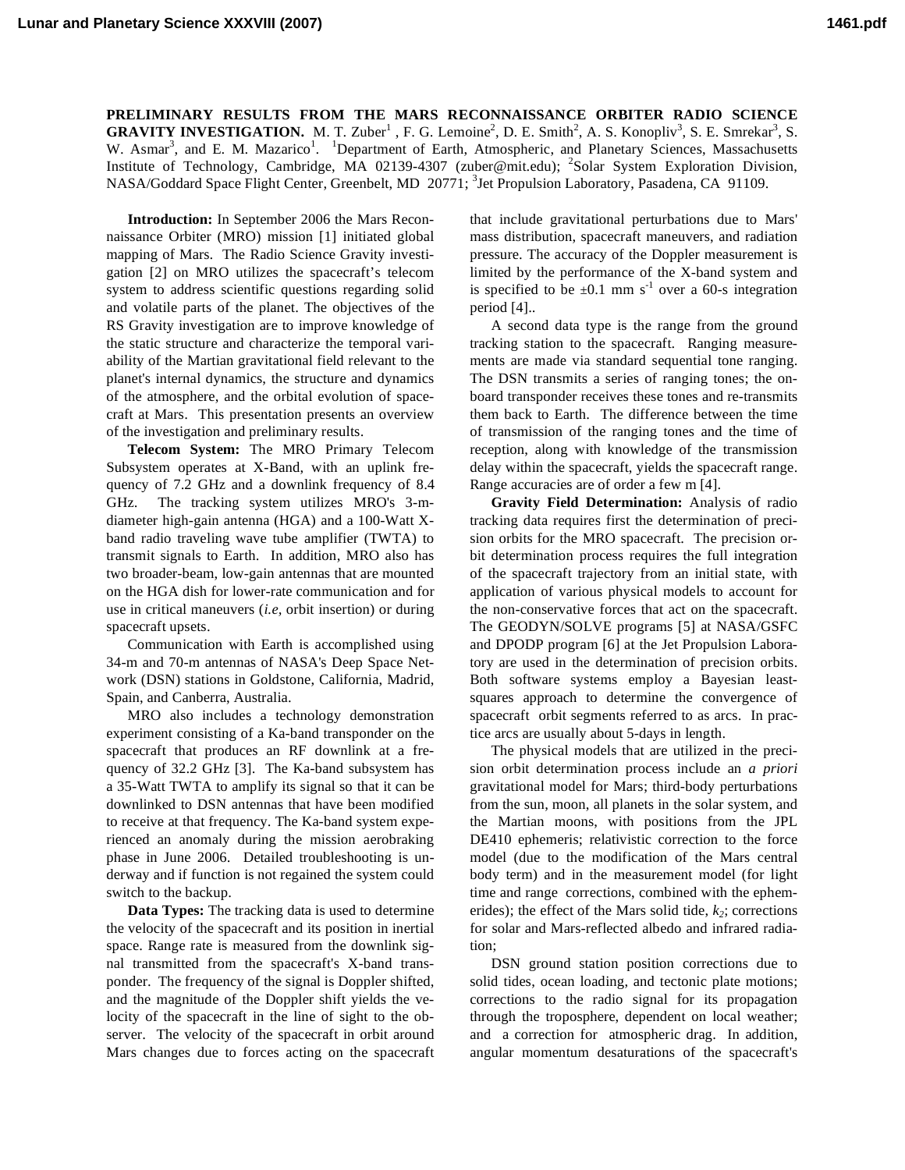**Lunar and Planetary Science XXXVIII (2007) 1461.pdf**

**PRELIMINARY RESULTS FROM THE MARS RECONNAISSANCE ORBITER RADIO SCIENCE GRAVITY INVESTIGATION.** M. T. Zuber<sup>1</sup>, F. G. Lemoine<sup>2</sup>, D. E. Smith<sup>2</sup>, A. S. Konopliv<sup>3</sup>, S. E. Smrekar<sup>3</sup>, S. W. Asmar<sup>3</sup>, and E. M. Mazarico<sup>1</sup>. <sup>1</sup>Department of Earth, Atmospheric, and Planetary Sciences, Massachusetts Institute of Technology, Cambridge, MA 02139-4307 (zuber@mit.edu); <sup>2</sup>Solar System Exploration Division, NASA/Goddard Space Flight Center, Greenbelt, MD 20771; <sup>3</sup>Jet Propulsion Laboratory, Pasadena, CA 91109.

**Introduction:** In September 2006 the Mars Reconnaissance Orbiter (MRO) mission [1] initiated global mapping of Mars. The Radio Science Gravity investigation [2] on MRO utilizes the spacecraft's telecom system to address scientific questions regarding solid and volatile parts of the planet. The objectives of the RS Gravity investigation are to improve knowledge of the static structure and characterize the temporal variability of the Martian gravitational field relevant to the planet's internal dynamics, the structure and dynamics of the atmosphere, and the orbital evolution of spacecraft at Mars. This presentation presents an overview of the investigation and preliminary results.

**Telecom System:** The MRO Primary Telecom Subsystem operates at X-Band, with an uplink frequency of 7.2 GHz and a downlink frequency of 8.4 GHz. The tracking system utilizes MRO's 3-mdiameter high-gain antenna (HGA) and a 100-Watt Xband radio traveling wave tube amplifier (TWTA) to transmit signals to Earth. In addition, MRO also has two broader-beam, low-gain antennas that are mounted on the HGA dish for lower-rate communication and for use in critical maneuvers (*i.e,* orbit insertion) or during spacecraft upsets.

Communication with Earth is accomplished using 34-m and 70-m antennas of NASA's Deep Space Network (DSN) stations in Goldstone, California, Madrid, Spain, and Canberra, Australia.

MRO also includes a technology demonstration experiment consisting of a Ka-band transponder on the spacecraft that produces an RF downlink at a frequency of 32.2 GHz [3]. The Ka-band subsystem has a 35-Watt TWTA to amplify its signal so that it can be downlinked to DSN antennas that have been modified to receive at that frequency. The Ka-band system experienced an anomaly during the mission aerobraking phase in June 2006. Detailed troubleshooting is underway and if function is not regained the system could switch to the backup.

**Data Types:** The tracking data is used to determine the velocity of the spacecraft and its position in inertial space. Range rate is measured from the downlink signal transmitted from the spacecraft's X-band transponder. The frequency of the signal is Doppler shifted, and the magnitude of the Doppler shift yields the velocity of the spacecraft in the line of sight to the observer. The velocity of the spacecraft in orbit around Mars changes due to forces acting on the spacecraft that include gravitational perturbations due to Mars' mass distribution, spacecraft maneuvers, and radiation pressure. The accuracy of the Doppler measurement is limited by the performance of the X-band system and is specified to be  $\pm 0.1$  mm s<sup>-1</sup> over a 60-s integration period [4]..

A second data type is the range from the ground tracking station to the spacecraft. Ranging measurements are made via standard sequential tone ranging. The DSN transmits a series of ranging tones; the onboard transponder receives these tones and re-transmits them back to Earth. The difference between the time of transmission of the ranging tones and the time of reception, along with knowledge of the transmission delay within the spacecraft, yields the spacecraft range. Range accuracies are of order a few m [4].

**Gravity Field Determination:** Analysis of radio tracking data requires first the determination of precision orbits for the MRO spacecraft. The precision orbit determination process requires the full integration of the spacecraft trajectory from an initial state, with application of various physical models to account for the non-conservative forces that act on the spacecraft. The GEODYN/SOLVE programs [5] at NASA/GSFC and DPODP program [6] at the Jet Propulsion Laboratory are used in the determination of precision orbits. Both software systems employ a Bayesian leastsquares approach to determine the convergence of spacecraft orbit segments referred to as arcs. In practice arcs are usually about 5-days in length.

The physical models that are utilized in the precision orbit determination process include an *a priori* gravitational model for Mars; third-body perturbations from the sun, moon, all planets in the solar system, and the Martian moons, with positions from the JPL DE410 ephemeris; relativistic correction to the force model (due to the modification of the Mars central body term) and in the measurement model (for light time and range corrections, combined with the ephemerides); the effect of the Mars solid tide,  $k_2$ ; corrections for solar and Mars-reflected albedo and infrared radiation;

DSN ground station position corrections due to solid tides, ocean loading, and tectonic plate motions; corrections to the radio signal for its propagation through the troposphere, dependent on local weather; and a correction for atmospheric drag. In addition, angular momentum desaturations of the spacecraft's